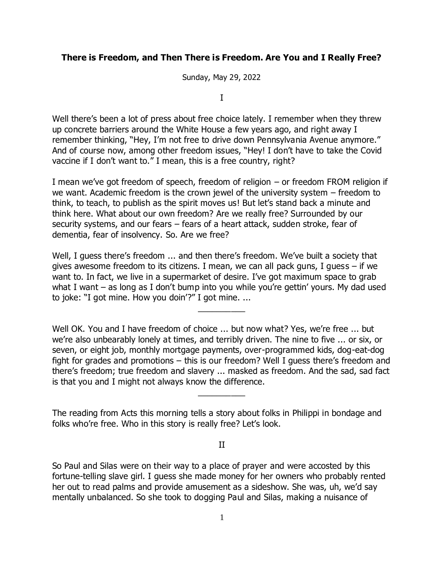## **There is Freedom, and Then There is Freedom. Are You and I Really Free?**

Sunday, May 29, 2022

I

Well there's been a lot of press about free choice lately. I remember when they threw up concrete barriers around the White House a few years ago, and right away I remember thinking, "Hey, I'm not free to drive down Pennsylvania Avenue anymore." And of course now, among other freedom issues, "Hey! I don't have to take the Covid vaccine if I don't want to." I mean, this is a free country, right?

I mean we've got freedom of speech, freedom of religion – or freedom FROM religion if we want. Academic freedom is the crown jewel of the university system – freedom to think, to teach, to publish as the spirit moves us! But let's stand back a minute and think here. What about our own freedom? Are we really free? Surrounded by our security systems, and our fears – fears of a heart attack, sudden stroke, fear of dementia, fear of insolvency. So. Are we free?

Well, I guess there's freedom ... and then there's freedom. We've built a society that gives awesome freedom to its citizens. I mean, we can all pack guns, I guess – if we want to. In fact, we live in a supermarket of desire. I've got maximum space to grab what I want – as long as I don't bump into you while you're gettin' yours. My dad used to joke: "I got mine. How you doin'?" I got mine. ...

 $\overline{\phantom{a}}$ 

Well OK. You and I have freedom of choice ... but now what? Yes, we're free ... but we're also unbearably lonely at times, and terribly driven. The nine to five ... or six, or seven, or eight job, monthly mortgage payments, over-programmed kids, dog-eat-dog fight for grades and promotions – this is our freedom? Well I guess there's freedom and there's freedom; true freedom and slavery ... masked as freedom. And the sad, sad fact is that you and I might not always know the difference.

 $\overline{\phantom{a}}$ 

The reading from Acts this morning tells a story about folks in Philippi in bondage and folks who're free. Who in this story is really free? Let's look.

II

So Paul and Silas were on their way to a place of prayer and were accosted by this fortune-telling slave girl. I guess she made money for her owners who probably rented her out to read palms and provide amusement as a sideshow. She was, uh, we'd say mentally unbalanced. So she took to dogging Paul and Silas, making a nuisance of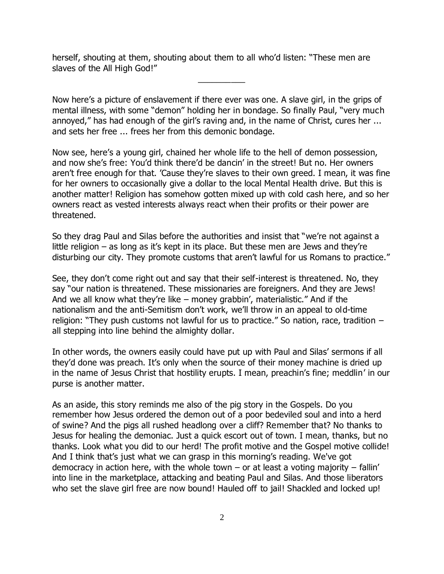herself, shouting at them, shouting about them to all who'd listen: "These men are slaves of the All High God!"

Now here's a picture of enslavement if there ever was one. A slave girl, in the grips of mental illness, with some "demon" holding her in bondage. So finally Paul, "very much annoyed," has had enough of the girl's raving and, in the name of Christ, cures her ... and sets her free ... frees her from this demonic bondage.

 $\overline{\phantom{a}}$ 

Now see, here's a young girl, chained her whole life to the hell of demon possession, and now she's free: You'd think there'd be dancin' in the street! But no. Her owners aren't free enough for that. 'Cause they're slaves to their own greed. I mean, it was fine for her owners to occasionally give a dollar to the local Mental Health drive. But this is another matter! Religion has somehow gotten mixed up with cold cash here, and so her owners react as vested interests always react when their profits or their power are threatened.

So they drag Paul and Silas before the authorities and insist that "we're not against a little religion  $-$  as long as it's kept in its place. But these men are Jews and they're disturbing our city. They promote customs that aren't lawful for us Romans to practice."

See, they don't come right out and say that their self-interest is threatened. No, they say "our nation is threatened. These missionaries are foreigners. And they are Jews! And we all know what they're like – money grabbin', materialistic." And if the nationalism and the anti-Semitism don't work, we'll throw in an appeal to old-time religion: "They push customs not lawful for us to practice." So nation, race, tradition – all stepping into line behind the almighty dollar.

In other words, the owners easily could have put up with Paul and Silas' sermons if all they'd done was preach. It's only when the source of their money machine is dried up in the name of Jesus Christ that hostility erupts. I mean, preachin's fine; meddlin' in our purse is another matter.

As an aside, this story reminds me also of the pig story in the Gospels. Do you remember how Jesus ordered the demon out of a poor bedeviled soul and into a herd of swine? And the pigs all rushed headlong over a cliff? Remember that? No thanks to Jesus for healing the demoniac. Just a quick escort out of town. I mean, thanks, but no thanks. Look what you did to our herd! The profit motive and the Gospel motive collide! And I think that's just what we can grasp in this morning's reading. We've got democracy in action here, with the whole town  $-$  or at least a voting majority  $-$  fallin' into line in the marketplace, attacking and beating Paul and Silas. And those liberators who set the slave girl free are now bound! Hauled off to jail! Shackled and locked up!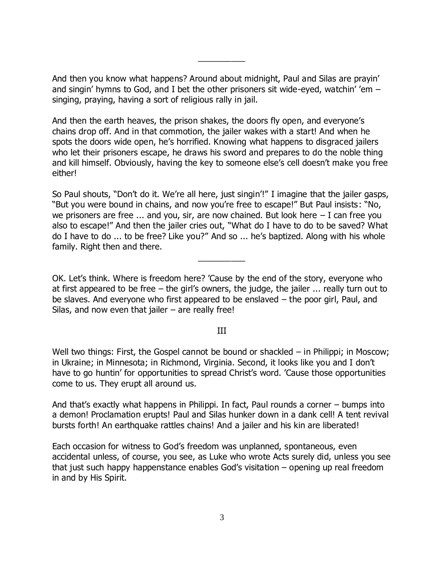And then you know what happens? Around about midnight, Paul and Silas are prayin' and singin' hymns to God, and I bet the other prisoners sit wide-eyed, watchin' 'em – singing, praying, having a sort of religious rally in jail.

 $\overline{\phantom{a}}$ 

And then the earth heaves, the prison shakes, the doors fly open, and everyone's chains drop off. And in that commotion, the jailer wakes with a start! And when he spots the doors wide open, he's horrified. Knowing what happens to disgraced jailers who let their prisoners escape, he draws his sword and prepares to do the noble thing and kill himself. Obviously, having the key to someone else's cell doesn't make you free either!

So Paul shouts, "Don't do it. We're all here, just singin'!" I imagine that the jailer gasps, "But you were bound in chains, and now you're free to escape!" But Paul insists: "No, we prisoners are free  $\ldots$  and you, sir, are now chained. But look here  $-$  I can free you also to escape!" And then the jailer cries out, "What do I have to do to be saved? What do I have to do ... to be free? Like you?" And so ... he's baptized. Along with his whole family. Right then and there.

 $\overline{\phantom{a}}$ 

OK. Let's think. Where is freedom here? 'Cause by the end of the story, everyone who at first appeared to be free – the girl's owners, the judge, the jailer ... really turn out to be slaves. And everyone who first appeared to be enslaved – the poor girl, Paul, and Silas, and now even that jailer  $-$  are really free!

## III

Well two things: First, the Gospel cannot be bound or shackled – in Philippi; in Moscow; in Ukraine; in Minnesota; in Richmond, Virginia. Second, it looks like you and I don't have to go huntin' for opportunities to spread Christ's word. 'Cause those opportunities come to us. They erupt all around us.

And that's exactly what happens in Philippi. In fact, Paul rounds a corner – bumps into a demon! Proclamation erupts! Paul and Silas hunker down in a dank cell! A tent revival bursts forth! An earthquake rattles chains! And a jailer and his kin are liberated!

Each occasion for witness to God's freedom was unplanned, spontaneous, even accidental unless, of course, you see, as Luke who wrote Acts surely did, unless you see that just such happy happenstance enables God's visitation – opening up real freedom in and by His Spirit.